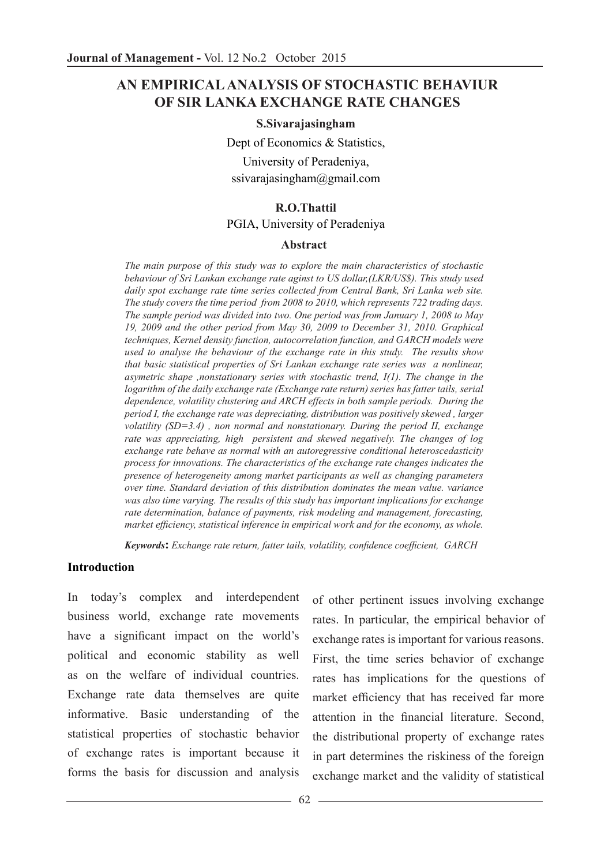# **AN EMPIRICAL ANALYSIS OF STOCHASTIC BEHAVIUR OF SIR LANKA EXCHANGE RATE CHANGES**

#### **S.Sivarajasingham**

Dept of Economics & Statistics, University of Peradeniya, ssivarajasingham@gmail.com

#### **R.O.Thattil**

#### PGIA, University of Peradeniya

#### **Abstract**

*The main purpose of this study was to explore the main characteristics of stochastic behaviour of Sri Lankan exchange rate aginst to US dollar,(LKR/US\$). This study used daily spot exchange rate time series collected from Central Bank, Sri Lanka web site. The study covers the time period from 2008 to 2010, which represents 722 trading days. The sample period was divided into two. One period was from January 1, 2008 to May 19, 2009 and the other period from May 30, 2009 to December 31, 2010. Graphical techniques, Kernel density function, autocorrelation function, and GARCH models were used to analyse the behaviour of the exchange rate in this study. The results show that basic statistical properties of Sri Lankan exchange rate series was a nonlinear, asymetric shape ,nonstationary series with stochastic trend, I(1). The change in the logarithm of the daily exchange rate (Exchange rate return) series has fatter tails, serial dependence, volatility clustering and ARCH effects in both sample periods. During the period I, the exchange rate was depreciating, distribution was positively skewed , larger volatility (SD=3.4) , non normal and nonstationary. During the period II, exchange rate was appreciating, high persistent and skewed negatively. The changes of log exchange rate behave as normal with an autoregressive conditional heteroscedasticity process for innovations. The characteristics of the exchange rate changes indicates the presence of heterogeneity among market participants as well as changing parameters over time. Standard deviation of this distribution dominates the mean value. variance was also time varying. The results of this study has important implications for exchange rate determination, balance of payments, risk modeling and management, forecasting, market efficiency, statistical inference in empirical work and for the economy, as whole.*

*Keywords***:** *Exchange rate return, fatter tails, volatility, confidence coefficient, GARCH*

#### **Introduction**

In today's complex and interdependent business world, exchange rate movements have a significant impact on the world's political and economic stability as well as on the welfare of individual countries. Exchange rate data themselves are quite informative. Basic understanding of the statistical properties of stochastic behavior of exchange rates is important because it forms the basis for discussion and analysis

of other pertinent issues involving exchange rates. In particular, the empirical behavior of exchange rates is important for various reasons. First, the time series behavior of exchange rates has implications for the questions of market efficiency that has received far more attention in the financial literature. Second, the distributional property of exchange rates in part determines the riskiness of the foreign exchange market and the validity of statistical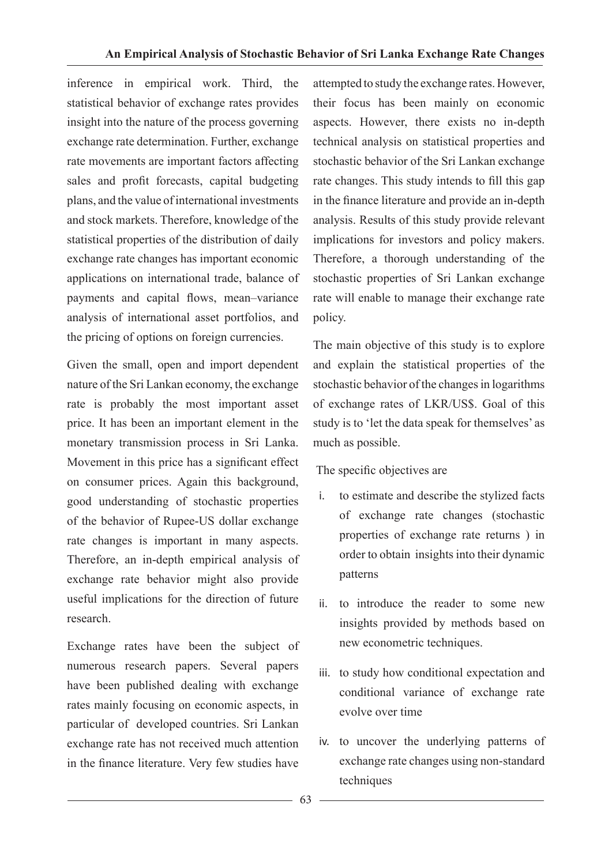inference in empirical work. Third, the statistical behavior of exchange rates provides insight into the nature of the process governing exchange rate determination. Further, exchange rate movements are important factors affecting sales and profit forecasts, capital budgeting plans, and the value of international investments and stock markets. Therefore, knowledge of the statistical properties of the distribution of daily exchange rate changes has important economic applications on international trade, balance of payments and capital flows, mean–variance analysis of international asset portfolios, and the pricing of options on foreign currencies.

Given the small, open and import dependent nature of the Sri Lankan economy, the exchange rate is probably the most important asset price. It has been an important element in the monetary transmission process in Sri Lanka. Movement in this price has a significant effect on consumer prices. Again this background, good understanding of stochastic properties of the behavior of Rupee-US dollar exchange rate changes is important in many aspects. Therefore, an in-depth empirical analysis of exchange rate behavior might also provide useful implications for the direction of future research.

Exchange rates have been the subject of numerous research papers. Several papers have been published dealing with exchange rates mainly focusing on economic aspects, in particular of developed countries. Sri Lankan exchange rate has not received much attention in the finance literature. Very few studies have

attempted to study the exchange rates. However, their focus has been mainly on economic aspects. However, there exists no in-depth technical analysis on statistical properties and stochastic behavior of the Sri Lankan exchange rate changes. This study intends to fill this gap in the finance literature and provide an in-depth analysis. Results of this study provide relevant implications for investors and policy makers. Therefore, a thorough understanding of the stochastic properties of Sri Lankan exchange rate will enable to manage their exchange rate policy.

The main objective of this study is to explore and explain the statistical properties of the stochastic behavior of the changes in logarithms of exchange rates of LKR/US\$. Goal of this study is to 'let the data speak for themselves' as much as possible.

### The specific objectives are

- i. to estimate and describe the stylized facts of exchange rate changes (stochastic properties of exchange rate returns ) in order to obtain insights into their dynamic patterns
- ii. to introduce the reader to some new insights provided by methods based on new econometric techniques.
- iii. to study how conditional expectation and conditional variance of exchange rate evolve over time
- iv. to uncover the underlying patterns of exchange rate changes using non-standard techniques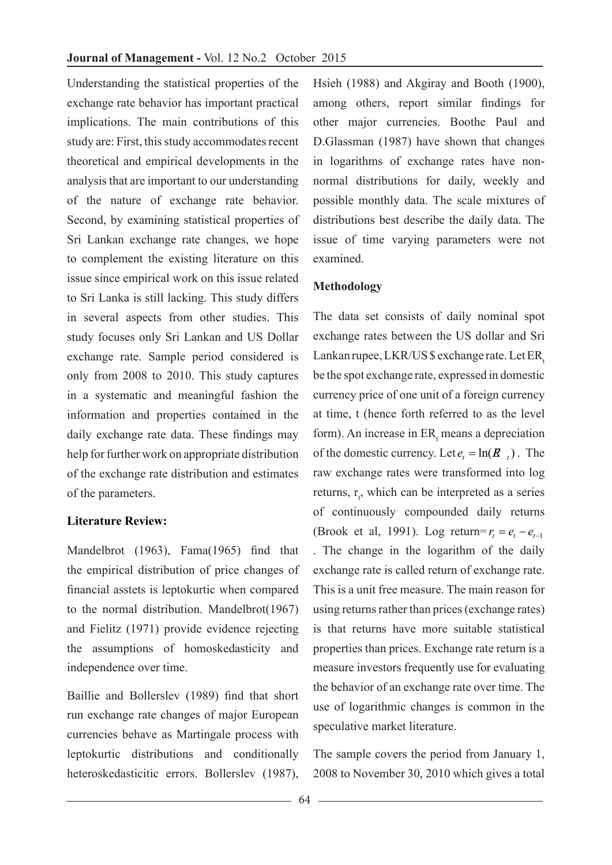Understanding the statistical properties of the exchange rate behavior has important practical implications. The main contributions of this study are: First, this study accommodates recent theoretical and empirical developments in the analysis that are important to our understanding of the nature of exchange rate behavior. Second, by examining statistical properties of Sri Lankan exchange rate changes, we hope to complement the existing literature on this issue since empirical work on this issue related to Sri Lanka is still lacking. This study differs in several aspects from other studies. This study focuses only Sri Lankan and US Dollar exchange rate. Sample period considered is only from 2008 to 2010. This study captures in a systematic and meaningful fashion the information and properties contained in the daily exchange rate data. These findings may help for further work on appropriate distribution of the exchange rate distribution and estimates of the parameters.

### **Literature Review:**

Mandelbrot (1963), Fama(1965) find that the empirical distribution of price changes of financial asstets is leptokurtic when compared to the normal distribution. Mandelbrot(1967) and Fielitz (1971) provide evidence rejecting the assumptions of homoskedasticity and independence over time.

Baillie and Bollerslev (1989) find that short run exchange rate changes of major European currencies behave as Martingale process with leptokurtic distributions and conditionally heteroskedasticitic errors. Bollerslev (1987),

Hsieh (1988) and Akgiray and Booth (1900), among others, report similar findings for other major currencies. Boothe Paul and D.Glassman (1987) have shown that changes in logarithms of exchange rates have nonnormal distributions for daily, weekly and possible monthly data. The scale mixtures of distributions best describe the daily data. The issue of time varying parameters were not examined.

#### **Methodology**

The data set consists of daily nominal spot exchange rates between the US dollar and Sri Lankan rupee, LKR/US \$ exchange rate. Let ER. be the spot exchange rate, expressed in domestic currency price of one unit of a foreign currency at time, t (hence forth referred to as the level form). An increase in  $ER_1$  means a depreciation of the domestic currency. Let  $e_t = \ln(R_t)$ . The raw exchange rates were transformed into log returns,  $r_t$ , which can be interpreted as a series of continuously compounded daily returns (Brook et al, 1991). Log return= $r_1 = e_1 - e_{t-1}$ . The change in the logarithm of the daily exchange rate is called return of exchange rate. This is a unit free measure. The main reason for using returns rather than prices (exchange rates) is that returns have more suitable statistical properties than prices. Exchange rate return is a measure investors frequently use for evaluating the behavior of an exchange rate over time. The use of logarithmic changes is common in the speculative market literature.

The sample covers the period from January 1, 2008 to November 30, 2010 which gives a total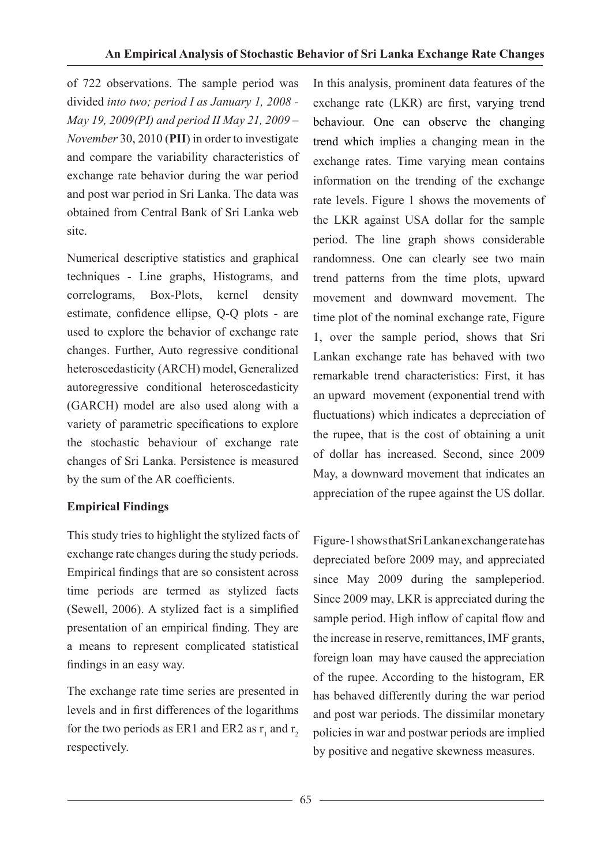of 722 observations. The sample period was divided *into two; period I as January 1, 2008 - May 19, 2009(PI) and period II May 21, 2009 – November* 30, 2010 (**PII**) in order to investigate and compare the variability characteristics of exchange rate behavior during the war period and post war period in Sri Lanka. The data was obtained from Central Bank of Sri Lanka web site.

Numerical descriptive statistics and graphical techniques - Line graphs, Histograms, and correlograms, Box-Plots, kernel density estimate, confidence ellipse, Q-Q plots - are used to explore the behavior of exchange rate changes. Further, Auto regressive conditional heteroscedasticity (ARCH) model, Generalized autoregressive conditional heteroscedasticity (GARCH) model are also used along with a variety of parametric specifications to explore the stochastic behaviour of exchange rate changes of Sri Lanka. Persistence is measured by the sum of the AR coefficients.

# **Empirical Findings**

This study tries to highlight the stylized facts of exchange rate changes during the study periods. Empirical findings that are so consistent across time periods are termed as stylized facts (Sewell, 2006). A stylized fact is a simplified presentation of an empirical finding. They are a means to represent complicated statistical findings in an easy way.

The exchange rate time series are presented in levels and in first differences of the logarithms for the two periods as ER1 and ER2 as  $r_1$  and  $r_2$ respectively.

In this analysis, prominent data features of the exchange rate (LKR) are first, varying trend behaviour. One can observe the changing trend which implies a changing mean in the exchange rates. Time varying mean contains information on the trending of the exchange rate levels. Figure 1 shows the movements of the LKR against USA dollar for the sample period. The line graph shows considerable randomness. One can clearly see two main trend patterns from the time plots, upward movement and downward movement. The time plot of the nominal exchange rate, Figure 1, over the sample period, shows that Sri Lankan exchange rate has behaved with two remarkable trend characteristics: First, it has an upward movement (exponential trend with fluctuations) which indicates a depreciation of the rupee, that is the cost of obtaining a unit of dollar has increased. Second, since 2009 May, a downward movement that indicates an appreciation of the rupee against the US dollar.

Figure-1 shows that Sri Lankan exchange rate has depreciated before 2009 may, and appreciated since May 2009 during the sampleperiod. Since 2009 may, LKR is appreciated during the sample period. High inflow of capital flow and the increase in reserve, remittances, IMF grants, foreign loan may have caused the appreciation of the rupee. According to the histogram, ER has behaved differently during the war period and post war periods. The dissimilar monetary policies in war and postwar periods are implied by positive and negative skewness measures.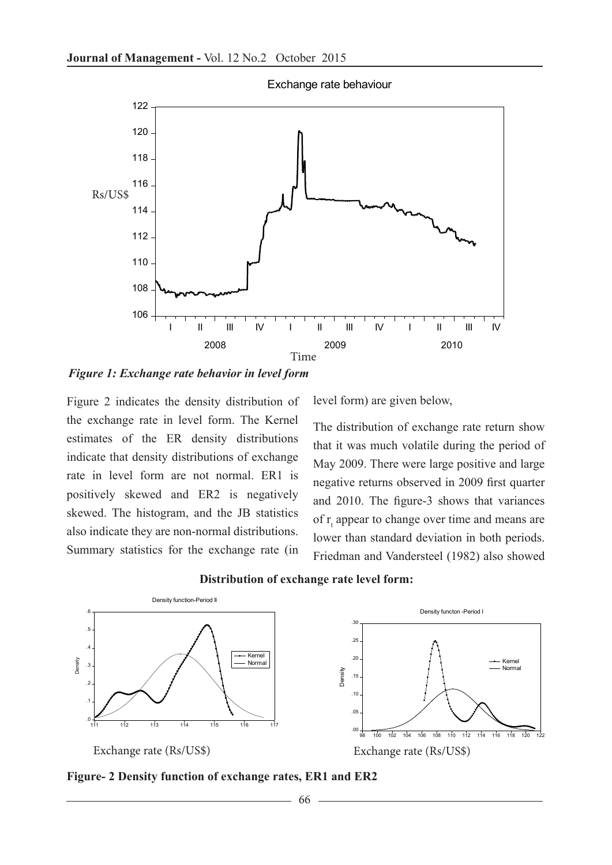

Exchange rate behaviour

*Figure 1: Exchange rate behavior in level form*

Figure 2 indicates the density distribution of the exchange rate in level form. The Kernel estimates of the ER density distributions indicate that density distributions of exchange rate in level form are not normal. ER1 is positively skewed and ER2 is negatively skewed. The histogram, and the JB statistics also indicate they are non-normal distributions. Summary statistics for the exchange rate (in level form) are given below,

The distribution of exchange rate return show that it was much volatile during the period of May 2009. There were large positive and large negative returns observed in 2009 first quarter and 2010. The figure-3 shows that variances of  $r_{t}$  appear to change over time and means are lower than standard deviation in both periods. Friedman and Vandersteel (1982) also showed



### **Distribution of exchange rate level form:**

**Figure- 2 Density function of exchange rates, ER1 and ER2**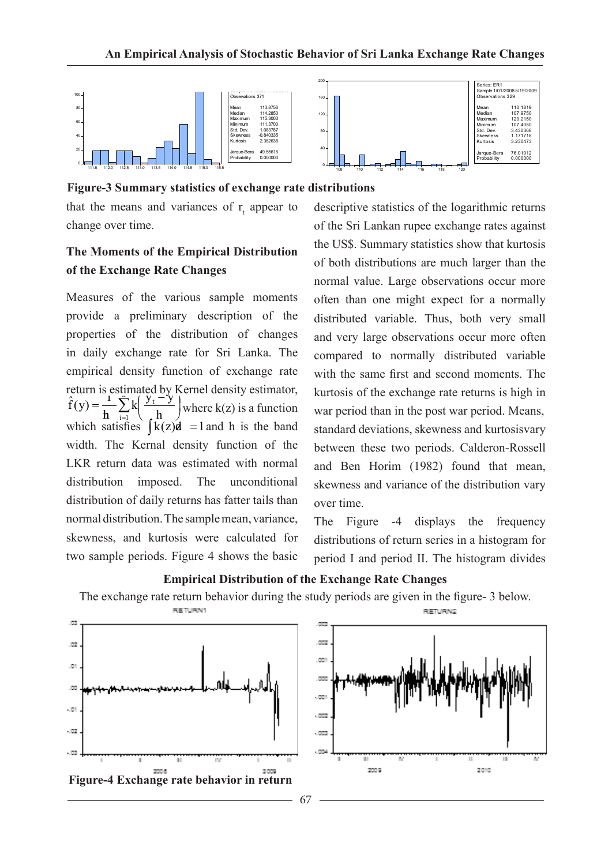

**Figure-3 Summary statistics of exchange rate distributions**

that the means and variances of  $r_{t}$  appear to change over time.

# **The Moments of the Empirical Distribution of the Exchange Rate Changes**

Measures of the various sample moments provide a preliminary description of the properties of the distribution of changes in daily exchange rate for Sri Lanka. The empirical density function of exchange rate return is estimated by Kernel density estimator,  $= \frac{1}{h} \sum_{i=1}^{c} k \left( \frac{y_i - y_i}{h} \right)$  $\overline{\phantom{a}}$  $\hat{f}(y) = \frac{1}{h} \sum_{i=1}^{h} k \left( \frac{y_i - y}{h} \right)$  where k(z) is a function  $h \leftarrow$  i=1 \, h which satisfies  $\int k(z)\vec{a}$  =1 and h is the band width. The Kernal density function of the LKR return data was estimated with normal distribution imposed. The unconditional distribution of daily returns has fatter tails than normal distribution. The sample mean, variance, skewness, and kurtosis were calculated for two sample periods. Figure 4 shows the basic

descriptive statistics of the logarithmic returns of the Sri Lankan rupee exchange rates against the US\$. Summary statistics show that kurtosis of both distributions are much larger than the normal value. Large observations occur more often than one might expect for a normally distributed variable. Thus, both very small and very large observations occur more often compared to normally distributed variable with the same first and second moments. The kurtosis of the exchange rate returns is high in war period than in the post war period. Means, standard deviations, skewness and kurtosisvary between these two periods. Calderon-Rossell and Ben Horim (1982) found that mean, skewness and variance of the distribution vary over time.

The Figure -4 displays the frequency distributions of return series in a histogram for period I and period II. The histogram divides



#### **Empirical Distribution of the Exchange Rate Changes**

The exchange rate return behavior during the study periods are given in the figure- 3 below.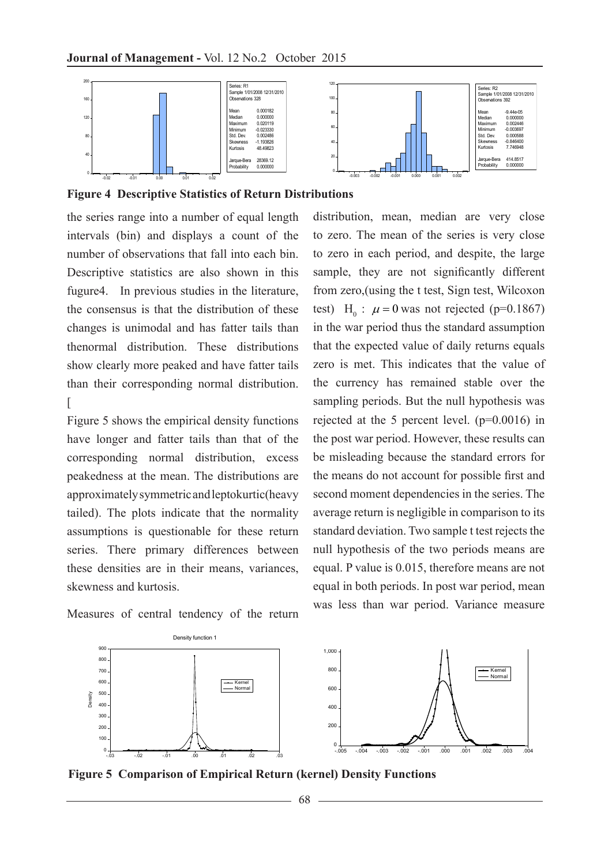

**Figure 4 Descriptive Statistics of Return Distributions**

the series range into a number of equal length intervals (bin) and displays a count of the number of observations that fall into each bin. Descriptive statistics are also shown in this fugure4. In previous studies in the literature, the consensus is that the distribution of these changes is unimodal and has fatter tails than thenormal distribution. These distributions show clearly more peaked and have fatter tails than their corresponding normal distribution.  $\sqrt{2}$ 

Figure 5 shows the empirical density functions have longer and fatter tails than that of the corresponding normal distribution, excess peakedness at the mean. The distributions are approximately symmetric and leptokurtic(heavy tailed). The plots indicate that the normality assumptions is questionable for these return series. There primary differences between these densities are in their means, variances, skewness and kurtosis.

Measures of central tendency of the return

distribution, mean, median are very close to zero. The mean of the series is very close to zero in each period, and despite, the large sample, they are not significantly different from zero,(using the t test, Sign test, Wilcoxon test)  $H_0: \mu = 0$  was not rejected (p=0.1867) in the war period thus the standard assumption that the expected value of daily returns equals zero is met. This indicates that the value of the currency has remained stable over the sampling periods. But the null hypothesis was rejected at the 5 percent level. (p=0.0016) in the post war period. However, these results can be misleading because the standard errors for the means do not account for possible first and second moment dependencies in the series. The average return is negligible in comparison to its standard deviation. Two sample t test rejects the null hypothesis of the two periods means are equal. P value is 0.015, therefore means are not equal in both periods. In post war period, mean was less than war period. Variance measure





**Figure 5 Comparison of Empirical Return (kernel) Density Functions**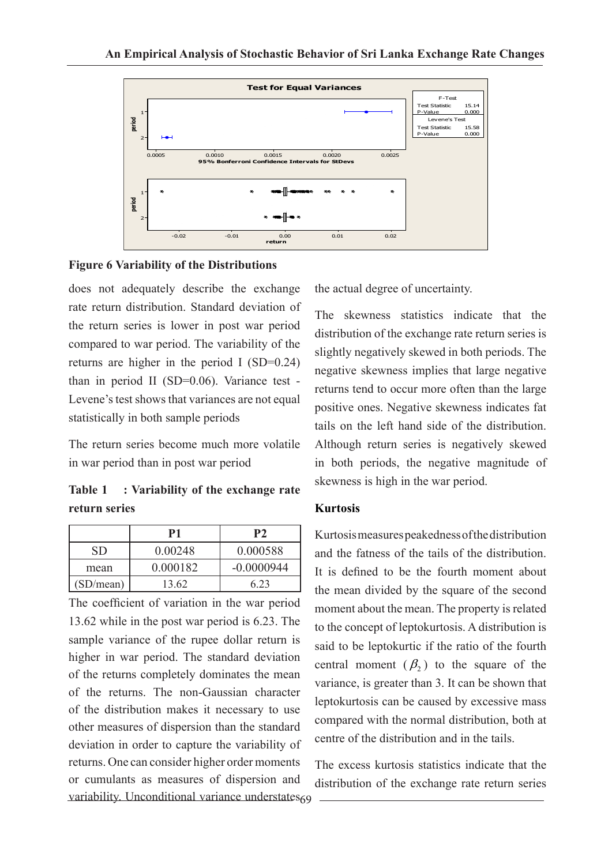

#### **Figure 6 Variability of the Distributions**

does not adequately describe the exchange rate return distribution. Standard deviation of the return series is lower in post war period compared to war period. The variability of the returns are higher in the period I (SD=0.24) than in period II (SD=0.06). Variance test - Levene's test shows that variances are not equal statistically in both sample periods

The return series become much more volatile in war period than in post war period

**Table 1 : Variability of the exchange rate return series**

|           | P1       | P <sub>2</sub> |
|-----------|----------|----------------|
| SD        | 0.00248  | 0.000588       |
| mean      | 0.000182 | $-0.0000944$   |
| (SD/mean) | 13.62    | 6 23           |

69 variability. Unconditional variance understates The coefficient of variation in the war period 13.62 while in the post war period is 6.23. The sample variance of the rupee dollar return is higher in war period. The standard deviation of the returns completely dominates the mean of the returns. The non-Gaussian character of the distribution makes it necessary to use other measures of dispersion than the standard deviation in order to capture the variability of returns. One can consider higher order moments or cumulants as measures of dispersion and

the actual degree of uncertainty.

The skewness statistics indicate that the distribution of the exchange rate return series is slightly negatively skewed in both periods. The negative skewness implies that large negative returns tend to occur more often than the large positive ones. Negative skewness indicates fat tails on the left hand side of the distribution. Although return series is negatively skewed in both periods, the negative magnitude of skewness is high in the war period.

#### **Kurtosis**

Kurtosis measures peakedness of the distribution and the fatness of the tails of the distribution. It is defined to be the fourth moment about the mean divided by the square of the second moment about the mean. The property is related to the concept of leptokurtosis. A distribution is said to be leptokurtic if the ratio of the fourth central moment  $(\beta_2)$  to the square of the variance, is greater than 3. It can be shown that leptokurtosis can be caused by excessive mass compared with the normal distribution, both at centre of the distribution and in the tails.

The excess kurtosis statistics indicate that the distribution of the exchange rate return series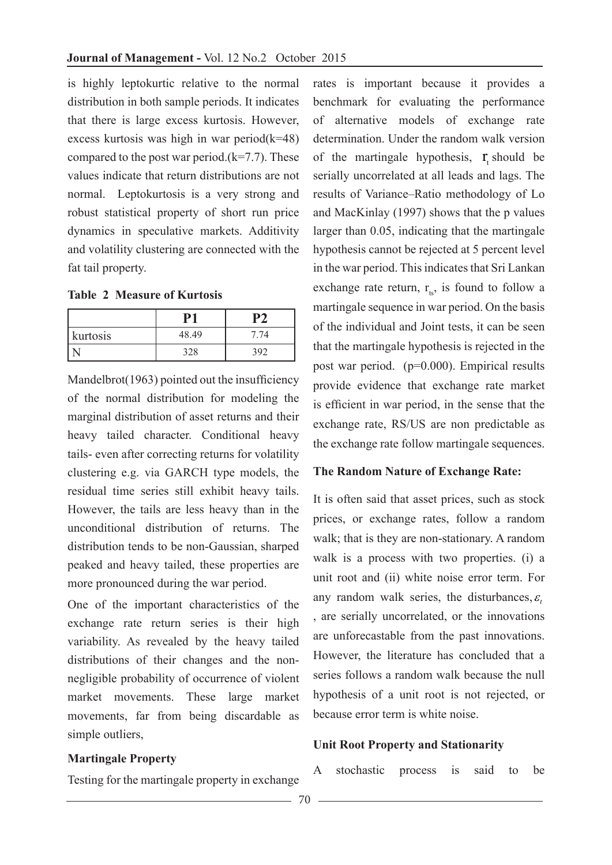is highly leptokurtic relative to the normal distribution in both sample periods. It indicates that there is large excess kurtosis. However, excess kurtosis was high in war period(k=48) compared to the post war period. $(k=7.7)$ . These values indicate that return distributions are not normal. Leptokurtosis is a very strong and robust statistical property of short run price dynamics in speculative markets. Additivity and volatility clustering are connected with the fat tail property.

**Table 2 Measure of Kurtosis**

| kurtosis | 48.49 |  |
|----------|-------|--|
|          | 20c   |  |

Mandelbrot(1963) pointed out the insufficiency of the normal distribution for modeling the marginal distribution of asset returns and their heavy tailed character. Conditional heavy tails- even after correcting returns for volatility clustering e.g. via GARCH type models, the residual time series still exhibit heavy tails. However, the tails are less heavy than in the unconditional distribution of returns. The distribution tends to be non-Gaussian, sharped peaked and heavy tailed, these properties are more pronounced during the war period.

One of the important characteristics of the exchange rate return series is their high variability. As revealed by the heavy tailed distributions of their changes and the nonnegligible probability of occurrence of violent market movements. These large market movements, far from being discardable as simple outliers,

# rates is important because it provides a benchmark for evaluating the performance of alternative models of exchange rate determination. Under the random walk version of the martingale hypothesis,  $\mathbf{r}$  should be serially uncorrelated at all leads and lags. The results of Variance–Ratio methodology of Lo and MacKinlay (1997) shows that the p values larger than 0.05, indicating that the martingale hypothesis cannot be rejected at 5 percent level in the war period. This indicates that Sri Lankan exchange rate return,  $r_{\text{t}}$ , is found to follow a martingale sequence in war period. On the basis of the individual and Joint tests, it can be seen that the martingale hypothesis is rejected in the post war period. (p=0.000). Empirical results provide evidence that exchange rate market is efficient in war period, in the sense that the exchange rate, RS/US are non predictable as the exchange rate follow martingale sequences.

#### **The Random Nature of Exchange Rate:**

It is often said that asset prices, such as stock prices, or exchange rates, follow a random walk; that is they are non-stationary. A random walk is a process with two properties. (i) a unit root and (ii) white noise error term. For any random walk series, the disturbances,  $\varepsilon$ , are serially uncorrelated, or the innovations are unforecastable from the past innovations. However, the literature has concluded that a series follows a random walk because the null hypothesis of a unit root is not rejected, or because error term is white noise.

#### **Unit Root Property and Stationarity**

#### **Martingale Property**

Testing for the martingale property in exchange

A stochastic process is said to be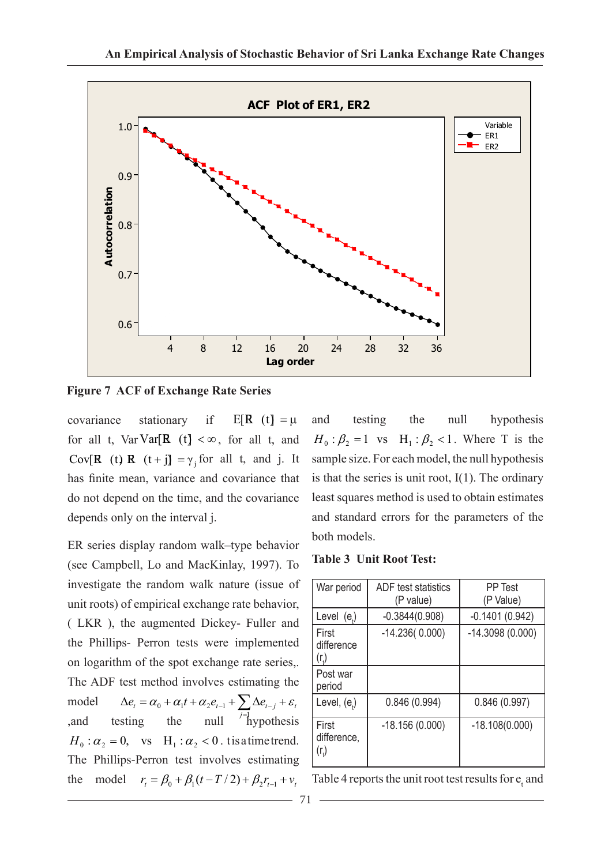

**Figure 7 ACF of Exchange Rate Series**

covariance stationary if  $E[R(t)] = \mu$ for all t, Var Var[ $\mathbf{R}$  (t] < $\infty$ , for all t, and Cov[**R** (t) **R**  $(t + j) = \gamma_j$  for all t, and j. It has finite mean, variance and covariance that do not depend on the time, and the covariance depends only on the interval j.

ER series display random walk–type behavior (see Campbell, Lo and MacKinlay, 1997). To investigate the random walk nature (issue of unit roots) of empirical exchange rate behavior, ( LKR ), the augmented Dickey- Fuller and the Phillips- Perron tests were implemented on logarithm of the spot exchange rate series,. The ADF test method involves estimating the model  $\Delta e_t = \alpha_0 + \alpha_1 t + \alpha_2 e_{t-1} + \sum_{j=1}^{\infty} \Delta e_{t-j} + \varepsilon_t$ and testing the null  $\left| \right|$  hypothesis  $_0$  +  $\alpha_1$ <sup> $\iota$ </sup> +  $\alpha_2$  $\epsilon_{t-1}$  +  $\sum \Delta \epsilon_{t-1}$  $H_0$ :  $\alpha_2 = 0$ , vs H<sub>1</sub>:  $\alpha_2 < 0$ . t is a time trend. The Phillips-Perron test involves estimating the model  $r_t = \beta_0 + \beta_1(t - T/2) + \beta_2 r_{t-1} + v_t$ 

and testing the null hypothesis  $H_0$ :  $\beta_2 = 1$  vs  $H_1$ :  $\beta_2 < 1$ . Where T is the sample size. For each model, the null hypothesis is that the series is unit root,  $I(1)$ . The ordinary least squares method is used to obtain estimates and standard errors for the parameters of the both models.

#### **Table 3 Unit Root Test:**

| War period                                | <b>ADF</b> test statistics<br>(P value) | PP Test<br>(P Value) |
|-------------------------------------------|-----------------------------------------|----------------------|
| Level $(e_i)$                             | $-0.3844(0.908)$                        | $-0.1401(0.942)$     |
| First<br>difference<br>(r <sub>t</sub> )  | $-14.236(0.000)$                        | $-14.3098(0.000)$    |
| Post war<br>period                        |                                         |                      |
| Level, (e.)                               | 0.846(0.994)                            | 0.846(0.997)         |
| First<br>difference,<br>(r <sub>1</sub> ) | $-18.156(0.000)$                        | $-18.108(0.000)$     |

Table 4 reports the unit root test results for  $e_t$  and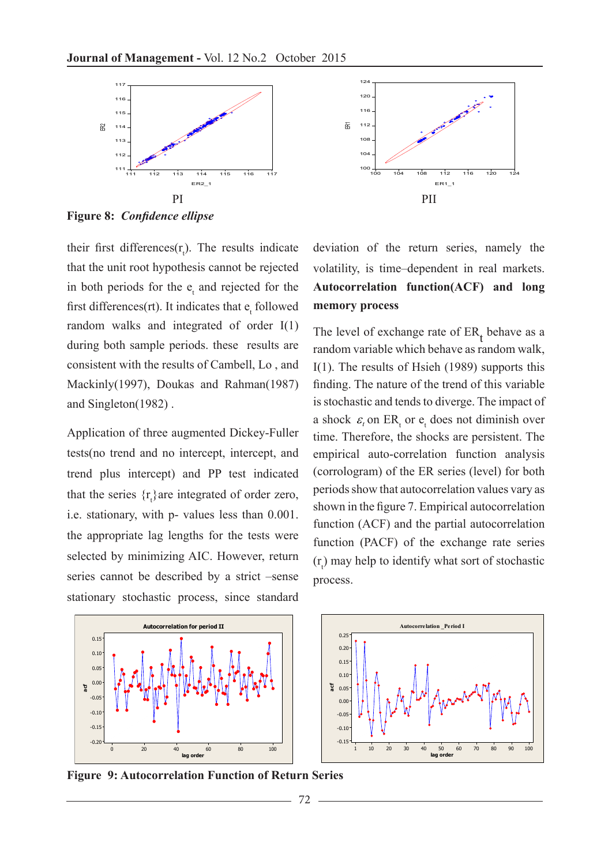

**Figure 8:** *Confidence ellipse*

their first differences $(r_t)$ . The results indicate that the unit root hypothesis cannot be rejected in both periods for the  $e_t$  and rejected for the first differences(rt). It indicates that  $e_t$  followed random walks and integrated of order I(1) during both sample periods. these results are consistent with the results of Cambell, Lo , and Mackinly(1997), Doukas and Rahman(1987) and Singleton(1982) .

Application of three augmented Dickey-Fuller tests(no trend and no intercept, intercept, and trend plus intercept) and PP test indicated that the series  $\{r_t\}$  are integrated of order zero, i.e. stationary, with p- values less than 0.001. the appropriate lag lengths for the tests were selected by minimizing AIC. However, return series cannot be described by a strict –sense stationary stochastic process, since standard



deviation of the return series, namely the volatility, is time–dependent in real markets. **Autocorrelation function(ACF) and long memory process** 

The level of exchange rate of  $ER_t$  behave as a random variable which behave as random walk, I(1). The results of Hsieh (1989) supports this finding. The nature of the trend of this variable is stochastic and tends to diverge. The impact of a shock  $\varepsilon_t$  on ER<sub>t</sub> or  $e_t$  does not diminish over time. Therefore, the shocks are persistent. The empirical auto-correlation function analysis (corrologram) of the ER series (level) for both periods show that autocorrelation values vary as shown in the figure 7. Empirical autocorrelation function (ACF) and the partial autocorrelation function (PACF) of the exchange rate series  $(r<sub>t</sub>)$  may help to identify what sort of stochastic process.





**Figure 9: Autocorrelation Function of Return Series**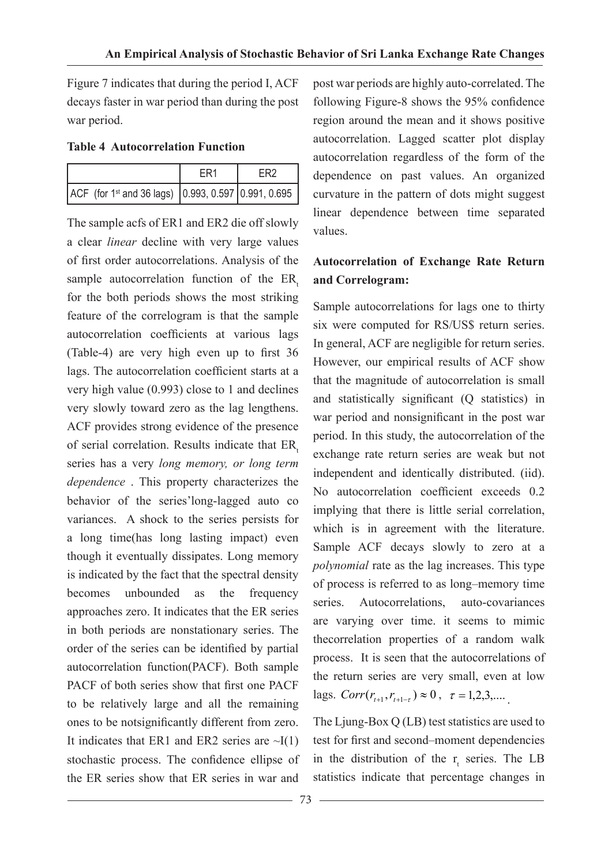Figure 7 indicates that during the period I, ACF decays faster in war period than during the post war period.

#### **Table 4 Autocorrelation Function**

| ACF (for 1 <sup>st</sup> and 36 lags) 0.993, 0.597 0.991, 0.695 |  |
|-----------------------------------------------------------------|--|

The sample acfs of ER1 and ER2 die off slowly a clear *linear* decline with very large values of first order autocorrelations. Analysis of the sample autocorrelation function of the ER. for the both periods shows the most striking feature of the correlogram is that the sample autocorrelation coefficients at various lags (Table-4) are very high even up to first 36 lags. The autocorrelation coefficient starts at a very high value (0.993) close to 1 and declines very slowly toward zero as the lag lengthens. ACF provides strong evidence of the presence of serial correlation. Results indicate that ER series has a very *long memory, or long term dependence* . This property characterizes the behavior of the series'long-lagged auto co variances. A shock to the series persists for a long time(has long lasting impact) even though it eventually dissipates. Long memory is indicated by the fact that the spectral density becomes unbounded as the frequency approaches zero. It indicates that the ER series in both periods are nonstationary series. The order of the series can be identified by partial autocorrelation function(PACF). Both sample PACF of both series show that first one PACF to be relatively large and all the remaining ones to be notsignificantly different from zero. It indicates that ER1 and ER2 series are  $\sim I(1)$ stochastic process. The confidence ellipse of the ER series show that ER series in war and

post war periods are highly auto-correlated. The following Figure-8 shows the 95% confidence region around the mean and it shows positive autocorrelation. Lagged scatter plot display autocorrelation regardless of the form of the dependence on past values. An organized curvature in the pattern of dots might suggest linear dependence between time separated values.

# **Autocorrelation of Exchange Rate Return and Correlogram:**

Sample autocorrelations for lags one to thirty six were computed for RS/US\$ return series. In general, ACF are negligible for return series. However, our empirical results of ACF show that the magnitude of autocorrelation is small and statistically significant (Q statistics) in war period and nonsignificant in the post war period. In this study, the autocorrelation of the exchange rate return series are weak but not independent and identically distributed. (iid). No autocorrelation coefficient exceeds 0.2 implying that there is little serial correlation, which is in agreement with the literature. Sample ACF decays slowly to zero at a *polynomial* rate as the lag increases. This type of process is referred to as long–memory time series. Autocorrelations auto-covariances are varying over time. it seems to mimic thecorrelation properties of a random walk process. It is seen that the autocorrelations of the return series are very small, even at low lags.  $Corr(r_{t+1}, r_{t+1-\tau}) \approx 0$ ,  $\tau = 1, 2, 3, \dots$ .

The Ljung-Box Q (LB) test statistics are used to test for first and second–moment dependencies in the distribution of the  $r_t$  series. The LB statistics indicate that percentage changes in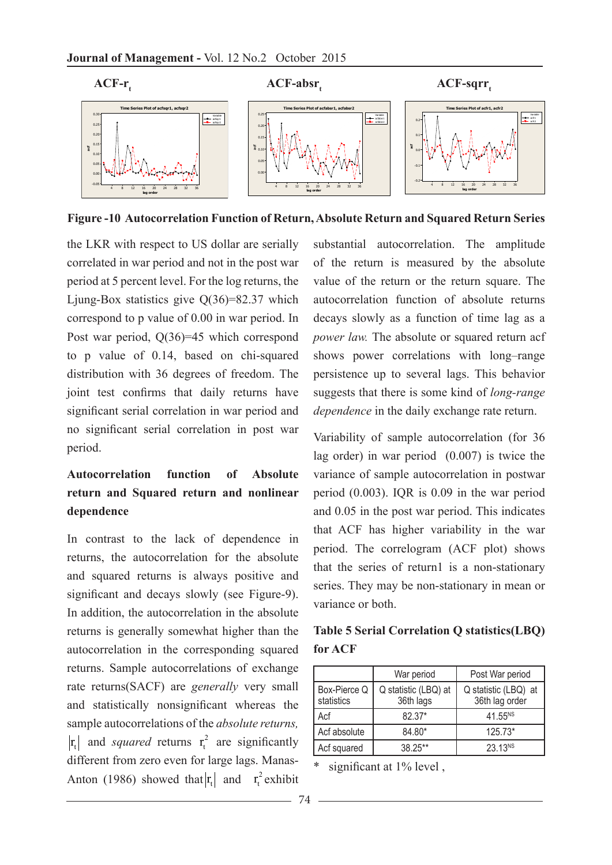

**Figure -10 Autocorrelation Function of Return, Absolute Return and Squared Return Series**

the LKR with respect to US dollar are serially correlated in war period and not in the post war period at 5 percent level. For the log returns, the Liung-Box statistics give  $O(36)=82.37$  which correspond to p value of 0.00 in war period. In Post war period, Q(36)=45 which correspond to p value of 0.14, based on chi-squared distribution with 36 degrees of freedom. The joint test confirms that daily returns have significant serial correlation in war period and no significant serial correlation in post war period.

# **Autocorrelation function of Absolute return and Squared return and nonlinear dependence**

In contrast to the lack of dependence in returns, the autocorrelation for the absolute and squared returns is always positive and significant and decays slowly (see Figure-9). In addition, the autocorrelation in the absolute returns is generally somewhat higher than the autocorrelation in the corresponding squared returns. Sample autocorrelations of exchange rate returns(SACF) are *generally* very small and statistically nonsignificant whereas the sample autocorrelations of the *absolute returns,*   $r_t$  and *squared* returns  $r_t^2$  are significantly different from zero even for large lags. Manas-Anton (1986) showed that  $|r_t|$  and  $r_t^2$  exhibit

substantial autocorrelation. The amplitude of the return is measured by the absolute value of the return or the return square. The autocorrelation function of absolute returns decays slowly as a function of time lag as a *power law.* The absolute or squared return acf shows power correlations with long–range persistence up to several lags. This behavior suggests that there is some kind of *long-range dependence* in the daily exchange rate return.

Variability of sample autocorrelation (for 36 lag order) in war period (0.007) is twice the variance of sample autocorrelation in postwar period (0.003). IQR is 0.09 in the war period and 0.05 in the post war period. This indicates that ACF has higher variability in the war period. The correlogram (ACF plot) shows that the series of return1 is a non-stationary series. They may be non-stationary in mean or variance or both.

| Table 5 Serial Correlation Q statistics(LBQ) |  |
|----------------------------------------------|--|
| for ACF                                      |  |

|                            | War period<br>Post War period     |                                        |
|----------------------------|-----------------------------------|----------------------------------------|
| Box-Pierce Q<br>statistics | Q statistic (LBQ) at<br>36th lags | Q statistic (LBQ) at<br>36th lag order |
| Acf                        | $82.37*$                          | $41.55^{NS}$                           |
| Acf absolute               | 84.80*                            | $125.73*$                              |
| Acf squared                | 38.25**                           | 23.13 <sup>NS</sup>                    |

\* significant at 1% level ,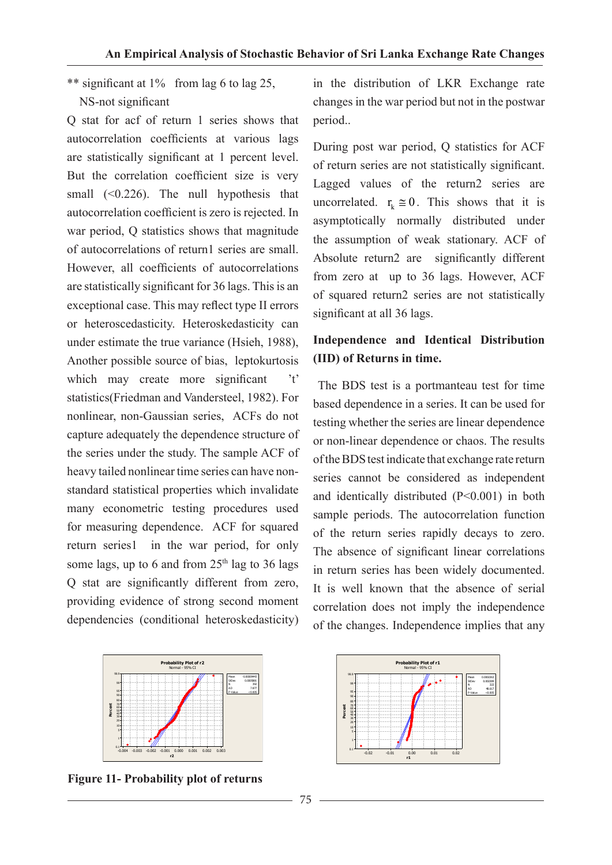\*\* significant at 1% from lag 6 to lag 25, NS-not significant

Q stat for acf of return 1 series shows that autocorrelation coefficients at various lags are statistically significant at 1 percent level. But the correlation coefficient size is very small (<0.226). The null hypothesis that autocorrelation coefficient is zero is rejected. In war period. O statistics shows that magnitude of autocorrelations of return1 series are small. However, all coefficients of autocorrelations are statistically significant for 36 lags. This is an exceptional case. This may reflect type II errors or heteroscedasticity. Heteroskedasticity can under estimate the true variance (Hsieh, 1988), Another possible source of bias, leptokurtosis which may create more significant 't' statistics(Friedman and Vandersteel, 1982). For nonlinear, non-Gaussian series, ACFs do not capture adequately the dependence structure of the series under the study. The sample ACF of heavy tailed nonlinear time series can have nonstandard statistical properties which invalidate many econometric testing procedures used for measuring dependence. ACF for squared return series1 in the war period, for only some lags, up to 6 and from  $25<sup>th</sup>$  lag to 36 lags Q stat are significantly different from zero, providing evidence of strong second moment dependencies (conditional heteroskedasticity)



**Figure 11- Probability plot of returns** 

in the distribution of LKR Exchange rate changes in the war period but not in the postwar period..

During post war period, Q statistics for ACF of return series are not statistically significant. Lagged values of the return2 series are uncorrelated.  $r_k \approx 0$ . This shows that it is asymptotically normally distributed under the assumption of weak stationary. ACF of Absolute return2 are significantly different from zero at up to 36 lags. However, ACF of squared return2 series are not statistically significant at all 36 lags.

## **Independence and Identical Distribution (IID) of Returns in time.**

The BDS test is a portmanteau test for time based dependence in a series. It can be used for testing whether the series are linear dependence or non-linear dependence or chaos. The results of the BDS test indicate that exchange rate return series cannot be considered as independent and identically distributed (P<0.001) in both sample periods. The autocorrelation function of the return series rapidly decays to zero. The absence of significant linear correlations in return series has been widely documented. It is well known that the absence of serial correlation does not imply the independence of the changes. Independence implies that any

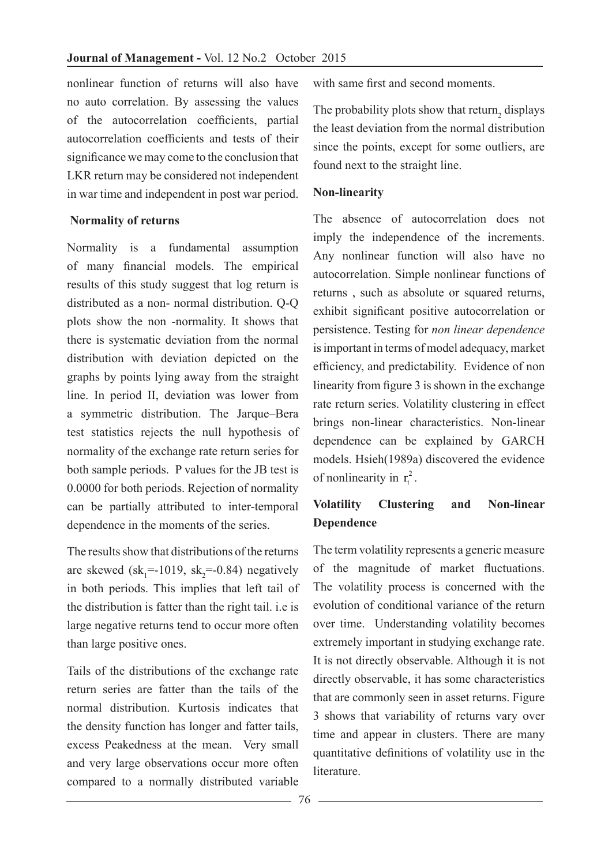nonlinear function of returns will also have no auto correlation. By assessing the values of the autocorrelation coefficients, partial autocorrelation coefficients and tests of their significance we may come to the conclusion that LKR return may be considered not independent in war time and independent in post war period.

## **Normality of returns**

Normality is a fundamental assumption of many financial models. The empirical results of this study suggest that log return is distributed as a non- normal distribution. Q-Q plots show the non -normality. It shows that there is systematic deviation from the normal distribution with deviation depicted on the graphs by points lying away from the straight line. In period II, deviation was lower from a symmetric distribution. The Jarque–Bera test statistics rejects the null hypothesis of normality of the exchange rate return series for both sample periods. P values for the JB test is 0.0000 for both periods. Rejection of normality can be partially attributed to inter-temporal dependence in the moments of the series.

The results show that distributions of the returns are skewed  $(sk_1 = -1019, sk_2 = -0.84)$  negatively in both periods. This implies that left tail of the distribution is fatter than the right tail. i.e is large negative returns tend to occur more often than large positive ones.

Tails of the distributions of the exchange rate return series are fatter than the tails of the normal distribution. Kurtosis indicates that the density function has longer and fatter tails, excess Peakedness at the mean. Very small and very large observations occur more often compared to a normally distributed variable

with same first and second moments.

The probability plots show that return<sub>2</sub> displays the least deviation from the normal distribution since the points, except for some outliers, are found next to the straight line.

## **Non-linearity**

The absence of autocorrelation does not imply the independence of the increments. Any nonlinear function will also have no autocorrelation. Simple nonlinear functions of returns , such as absolute or squared returns, exhibit significant positive autocorrelation or persistence. Testing for *non linear dependence* is important in terms of model adequacy, market efficiency, and predictability. Evidence of non linearity from figure 3 is shown in the exchange rate return series. Volatility clustering in effect brings non-linear characteristics. Non-linear dependence can be explained by GARCH models. Hsieh(1989a) discovered the evidence of nonlinearity in  $r_t^2$ .

# **Volatility Clustering and Non-linear Dependence**

The term volatility represents a generic measure of the magnitude of market fluctuations. The volatility process is concerned with the evolution of conditional variance of the return over time. Understanding volatility becomes extremely important in studying exchange rate. It is not directly observable. Although it is not directly observable, it has some characteristics that are commonly seen in asset returns. Figure 3 shows that variability of returns vary over time and appear in clusters. There are many quantitative definitions of volatility use in the **literature**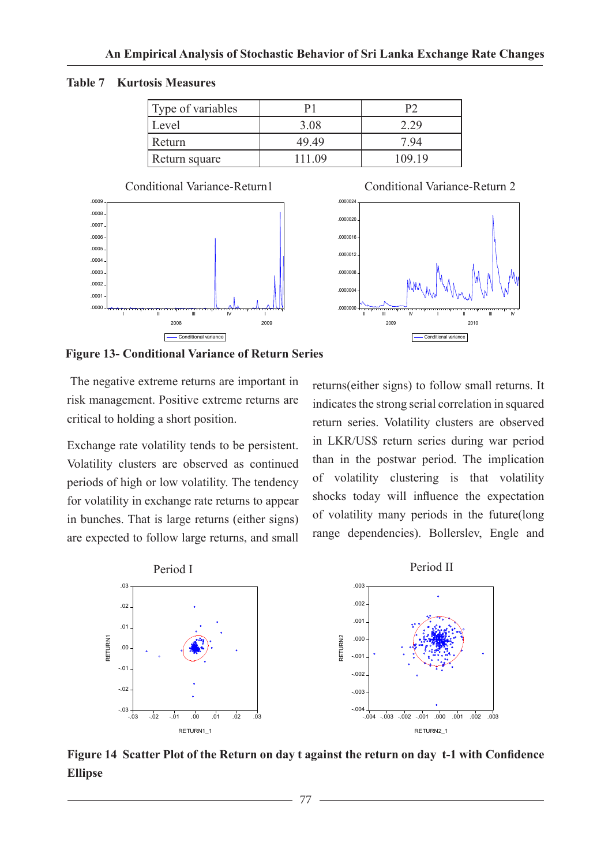**Table 7 Kurtosis Measures**

| Type of variables |        |        |
|-------------------|--------|--------|
| Level             | 3.08   |        |
| Return            | 49.49  | 7.94   |
| Return square     | 111 09 | 109 19 |





**Figure 13- Conditional Variance of Return Series**

 The negative extreme returns are important in risk management. Positive extreme returns are critical to holding a short position.

Exchange rate volatility tends to be persistent. Volatility clusters are observed as continued periods of high or low volatility. The tendency for volatility in exchange rate returns to appear in bunches. That is large returns (either signs) are expected to follow large returns, and small returns(either signs) to follow small returns. It indicates the strong serial correlation in squared return series. Volatility clusters are observed in LKR/US\$ return series during war period than in the postwar period. The implication of volatility clustering is that volatility shocks today will influence the expectation of volatility many periods in the future(long range dependencies). Bollerslev, Engle and



**Figure 14 Scatter Plot of the Return on day t against the return on day t-1 with Confidence Ellipse**

77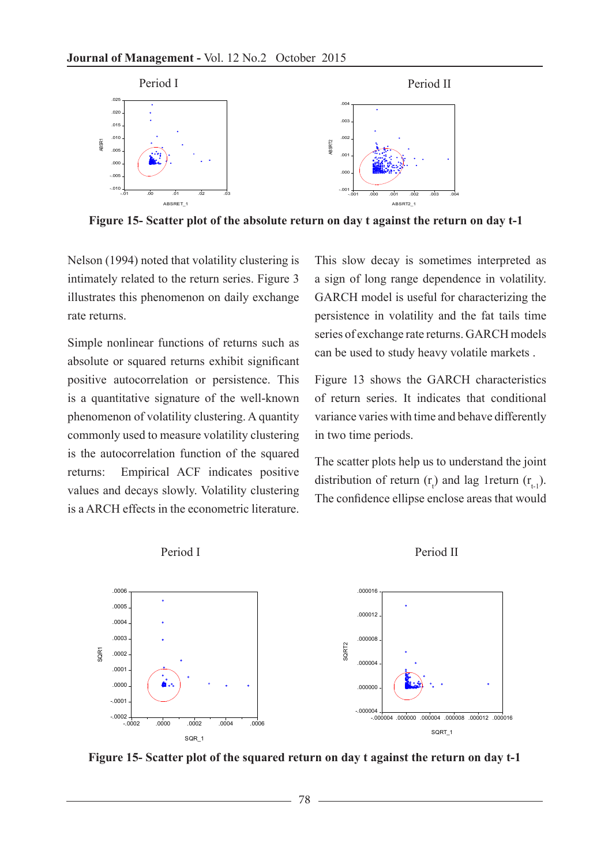

**Figure 15- Scatter plot of the absolute return on day t against the return on day t-1**

Nelson (1994) noted that volatility clustering is intimately related to the return series. Figure 3 illustrates this phenomenon on daily exchange rate returns.

Simple nonlinear functions of returns such as absolute or squared returns exhibit significant positive autocorrelation or persistence. This is a quantitative signature of the well-known phenomenon of volatility clustering. A quantity commonly used to measure volatility clustering is the autocorrelation function of the squared returns: Empirical ACF indicates positive values and decays slowly. Volatility clustering is a ARCH effects in the econometric literature. This slow decay is sometimes interpreted as a sign of long range dependence in volatility. GARCH model is useful for characterizing the persistence in volatility and the fat tails time series of exchange rate returns. GARCH models can be used to study heavy volatile markets .

Figure 13 shows the GARCH characteristics of return series. It indicates that conditional variance varies with time and behave differently in two time periods.

The scatter plots help us to understand the joint distribution of return  $(r_t)$  and lag 1 return  $(r_{t-1})$ . The confidence ellipse enclose areas that would







**Figure 15- Scatter plot of the squared return on day t against the return on day t-1**

78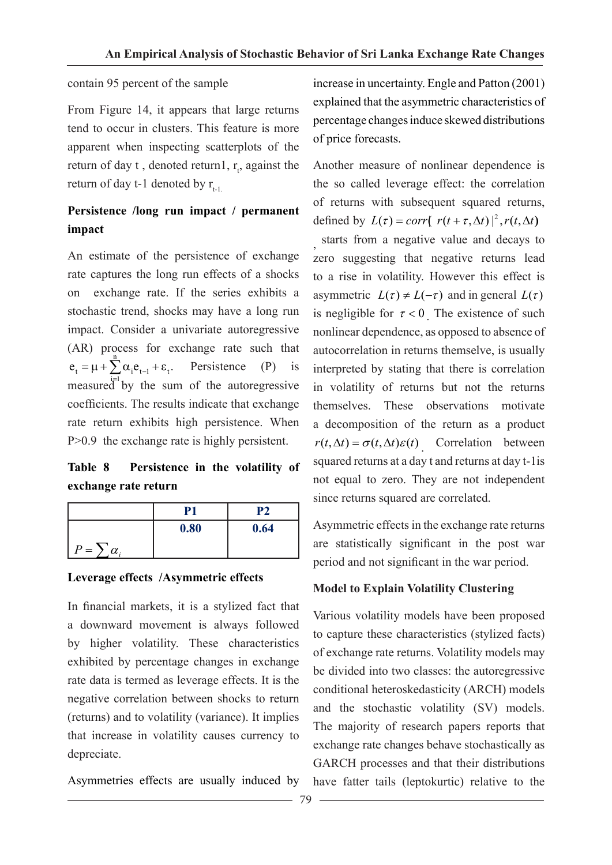#### contain 95 percent of the sample

From Figure 14, it appears that large returns tend to occur in clusters. This feature is more apparent when inspecting scatterplots of the return of day  $t$ , denoted return1,  $r_t$ , against the return of day t-1 denoted by  $r_{t-1}$ .

# **Persistence /long run impact / permanent impact**

An estimate of the persistence of exchange rate captures the long run effects of a shocks on exchange rate. If the series exhibits a stochastic trend, shocks may have a long run impact. Consider a univariate autoregressive (AR) process for exchange rate such that  $e_t = \mu + \sum_{i=1}^n \alpha_i e_{t-1} + \varepsilon_t$ . Persistence (P) is measured by the sum of the autoregressive coefficients. The results indicate that exchange rate return exhibits high persistence. When P>0.9 the exchange rate is highly persistent.

# **Table 8 Persistence in the volatility of exchange rate return**

|                               | Р1   | P2   |
|-------------------------------|------|------|
|                               | 0.80 | 0.64 |
| ה<br>$\prime =$<br>$\alpha$ . |      |      |

## **Leverage effects /Asymmetric effects**

In financial markets, it is a stylized fact that a downward movement is always followed by higher volatility. These characteristics exhibited by percentage changes in exchange rate data is termed as leverage effects. It is the negative correlation between shocks to return (returns) and to volatility (variance). It implies that increase in volatility causes currency to depreciate.

Asymmetries effects are usually induced by

increase in uncertainty. Engle and Patton (2001) explained that the asymmetric characteristics of percentage changes induce skewed distributions of price forecasts.

Another measure of nonlinear dependence is the so called leverage effect: the correlation of returns with subsequent squared returns, defined by  $L(\tau) = corr\left(\frac{r(t + \tau, \Delta t)}{2}, \frac{r(t, \Delta t)}{2}\right)$ 

, starts from a negative value and decays to zero suggesting that negative returns lead to a rise in volatility. However this effect is asymmetric  $L(\tau) \neq L(-\tau)$  and in general  $L(\tau)$ is negligible for  $\tau < 0$  The existence of such nonlinear dependence, as opposed to absence of autocorrelation in returns themselve, is usually interpreted by stating that there is correlation in volatility of returns but not the returns themselves. These observations motivate a decomposition of the return as a product  $r(t, \Delta t) = \sigma(t, \Delta t) \varepsilon(t)$  . Correlation between squared returns at a day t and returns at day t-1is not equal to zero. They are not independent since returns squared are correlated.

Asymmetric effects in the exchange rate returns are statistically significant in the post war period and not significant in the war period.

## **Model to Explain Volatility Clustering**

Various volatility models have been proposed to capture these characteristics (stylized facts) of exchange rate returns. Volatility models may be divided into two classes: the autoregressive conditional heteroskedasticity (ARCH) models and the stochastic volatility (SV) models. The majority of research papers reports that exchange rate changes behave stochastically as GARCH processes and that their distributions have fatter tails (leptokurtic) relative to the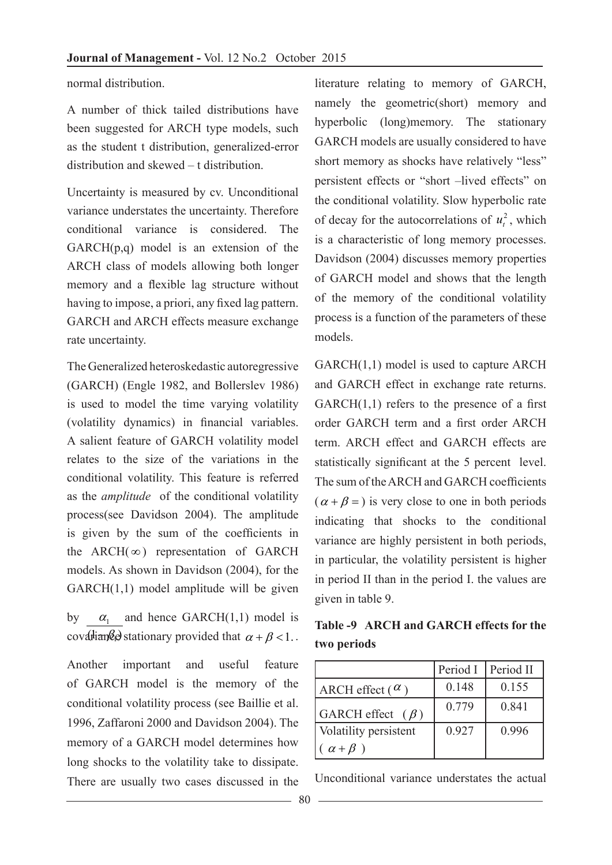normal distribution.

A number of thick tailed distributions have been suggested for ARCH type models, such as the student t distribution, generalized-error distribution and skewed – t distribution.

Uncertainty is measured by cv. Unconditional variance understates the uncertainty. Therefore conditional variance is considered. The  $GARCH(p,q)$  model is an extension of the ARCH class of models allowing both longer memory and a flexible lag structure without having to impose, a priori, any fixed lag pattern. GARCH and ARCH effects measure exchange rate uncertainty.

The Generalized heteroskedastic autoregressive (GARCH) (Engle 1982, and Bollerslev 1986) is used to model the time varying volatility (volatility dynamics) in financial variables. A salient feature of GARCH volatility model relates to the size of the variations in the conditional volatility. This feature is referred as the *amplitude* of the conditional volatility process(see Davidson 2004). The amplitude is given by the sum of the coefficients in the ARCH( $\infty$ ) representation of GARCH models. As shown in Davidson (2004), for the GARCH(1,1) model amplitude will be given

by covariantly example that  $\alpha + \beta < 1$ .  $\alpha_1$  and hence GARCH(1,1) model is

Another important and useful feature of GARCH model is the memory of the conditional volatility process (see Baillie et al. 1996, Zaffaroni 2000 and Davidson 2004). The memory of a GARCH model determines how long shocks to the volatility take to dissipate. There are usually two cases discussed in the

literature relating to memory of GARCH, namely the geometric(short) memory and hyperbolic (long)memory. The stationary GARCH models are usually considered to have short memory as shocks have relatively "less" persistent effects or "short –lived effects" on the conditional volatility. Slow hyperbolic rate of decay for the autocorrelations of  $u_t^2$ , which is a characteristic of long memory processes. Davidson (2004) discusses memory properties of GARCH model and shows that the length of the memory of the conditional volatility process is a function of the parameters of these models.

GARCH(1,1) model is used to capture ARCH and GARCH effect in exchange rate returns.  $GARCH(1,1)$  refers to the presence of a first order GARCH term and a first order ARCH term. ARCH effect and GARCH effects are statistically significant at the 5 percent level. The sum of the ARCH and GARCH coefficients  $(\alpha + \beta =)$  is very close to one in both periods indicating that shocks to the conditional variance are highly persistent in both periods, in particular, the volatility persistent is higher in period II than in the period I. the values are given in table 9.

**Table -9 ARCH and GARCH effects for the two periods** 

|                        | Period I | Period II |
|------------------------|----------|-----------|
| ARCH effect $(\alpha)$ | 0.148    | 0.155     |
| GARCH effect $(\beta)$ | 0.779    | 0.841     |
| Volatility persistent  | 0.927    | 0.996     |
| $\alpha + \beta$ )     |          |           |

Unconditional variance understates the actual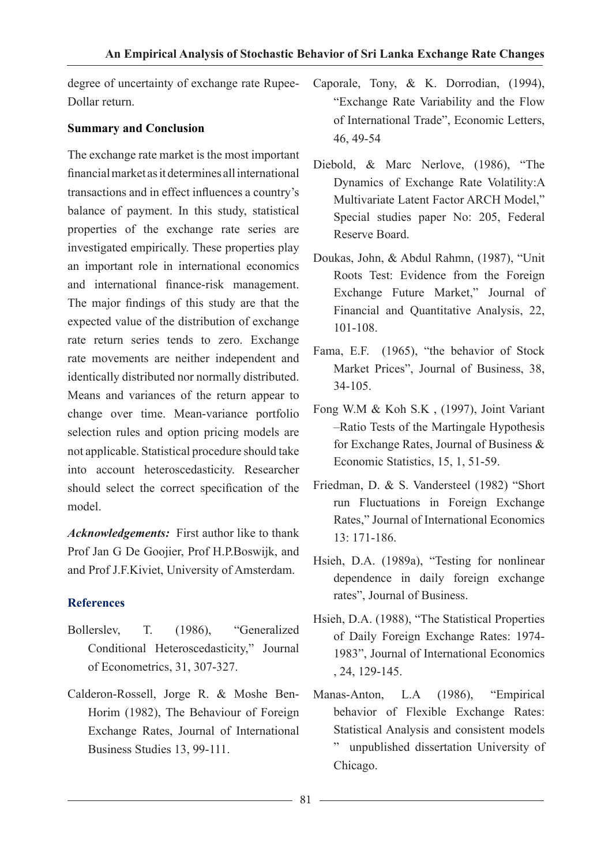degree of uncertainty of exchange rate Rupee-Dollar return.

## **Summary and Conclusion**

The exchange rate market is the most important financial market as it determines all international transactions and in effect influences a country's balance of payment. In this study, statistical properties of the exchange rate series are investigated empirically. These properties play an important role in international economics and international finance-risk management. The major findings of this study are that the expected value of the distribution of exchange rate return series tends to zero. Exchange rate movements are neither independent and identically distributed nor normally distributed. Means and variances of the return appear to change over time. Mean-variance portfolio selection rules and option pricing models are not applicable. Statistical procedure should take into account heteroscedasticity. Researcher should select the correct specification of the model.

*Acknowledgements:* First author like to thank Prof Jan G De Goojier, Prof H.P.Boswijk, and and Prof J.F.Kiviet, University of Amsterdam.

# **References**

- Bollerslev, T. (1986), "Generalized Conditional Heteroscedasticity," Journal of Econometrics, 31, 307-327.
- Calderon-Rossell, Jorge R. & Moshe Ben-Horim (1982), The Behaviour of Foreign Exchange Rates, Journal of International Business Studies 13, 99-111.
- Caporale, Tony, & K. Dorrodian, (1994), "Exchange Rate Variability and the Flow of International Trade", Economic Letters, 46, 49-54
- Diebold, & Marc Nerlove, (1986), "The Dynamics of Exchange Rate Volatility:A Multivariate Latent Factor ARCH Model," Special studies paper No: 205, Federal Reserve Board.
- Doukas, John, & Abdul Rahmn, (1987), "Unit Roots Test: Evidence from the Foreign Exchange Future Market," Journal of Financial and Quantitative Analysis, 22, 101-108.
- Fama, E.F. (1965), "the behavior of Stock Market Prices", Journal of Business, 38, 34-105.
- Fong W.M & Koh S.K , (1997), Joint Variant –Ratio Tests of the Martingale Hypothesis for Exchange Rates, Journal of Business & Economic Statistics, 15, 1, 51-59.
- Friedman, D. & S. Vandersteel (1982) "Short run Fluctuations in Foreign Exchange Rates," Journal of International Economics 13: 171-186.
- Hsieh, D.A. (1989a), "Testing for nonlinear dependence in daily foreign exchange rates", Journal of Business.
- Hsieh, D.A. (1988), "The Statistical Properties of Daily Foreign Exchange Rates: 1974- 1983", Journal of International Economics , 24, 129-145.
- Manas-Anton, L.A (1986), "Empirical behavior of Flexible Exchange Rates: Statistical Analysis and consistent models " unpublished dissertation University of Chicago.